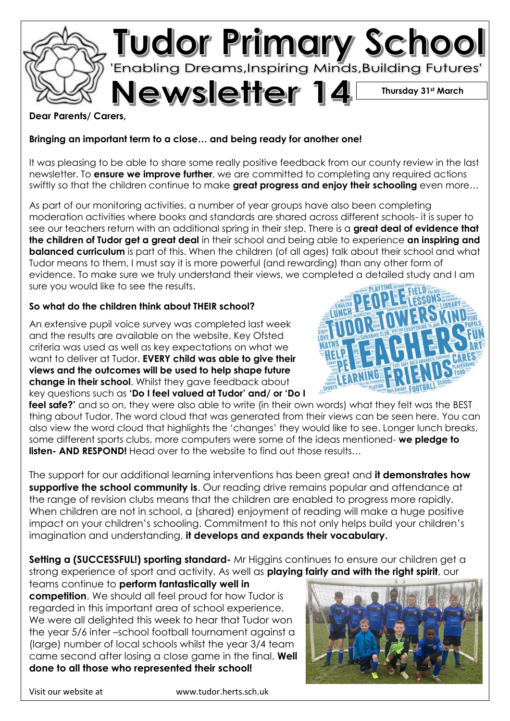

**Dear Parents/ Carers,**

## **Bringing an important term to a close… and being ready for another one!**

It was pleasing to be able to share some really positive feedback from our county review in the last newsletter. To **ensure we improve further**, we are committed to completing any required actions swiftly so that the children continue to make **great progress and enjoy their schooling** even more…

As part of our monitoring activities, a number of year groups have also been completing moderation activities where books and standards are shared across different schools- it is super to see our teachers return with an additional spring in their step. There is a **great deal of evidence that the children of Tudor get a great deal** in their school and being able to experience **an inspiring and balanced curriculum** is part of this. When the children (of all ages) talk about their school and what Tudor means to them, I must say it is more powerful (and rewarding) than any other form of evidence. To make sure we truly understand their views, we completed a detailed study and I am sure you would like to see the results.

## **So what do the children think about THEIR school?**

An extensive pupil voice survey was completed last week and the results are available on the website. Key Ofsted criteria was used as well as key expectations on what we want to deliver at Tudor. **EVERY child was able to give their views and the outcomes will be used to help shape future change in their school**. Whilst they gave feedback about key questions such as **'Do I feel valued at Tudor' and/ or 'Do I** 



The support for our additional learning interventions has been great and **it demonstrates how supportive the school community is**. Our reading drive remains popular and attendance at the range of revision clubs means that the children are enabled to progress more rapidly. When children are not in school, a (shared) enjoyment of reading will make a huge positive impact on your children's schooling. Commitment to this not only helps build your children's imagination and understanding, **it develops and expands their vocabulary.**

**Setting a (SUCCESSFUL!) sporting standard-** Mr Higgins continues to ensure our children get a strong experience of sport and activity. As well as **playing fairly and with the right spirit**, our

teams continue to **perform fantastically well in competition**. We should all feel proud for how Tudor is regarded in this important area of school experience. We were all delighted this week to hear that Tudor won the year 5/6 inter –school football tournament against a (large) number of local schools whilst the year 3/4 team came second after losing a close game in the final. **Well done to all those who represented their school!**



Visit our website at www.tudor.herts.sch.uk